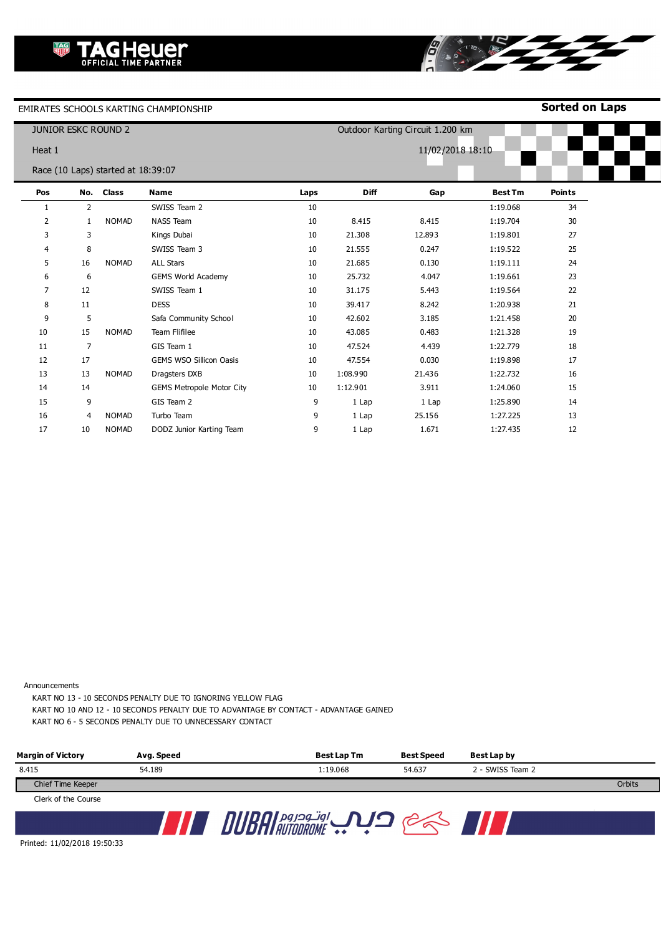**Sorted on Laps**

| <b>JUNIOR ESKC ROUND 2</b> |                |                                    |                                  |      |             | Outdoor Karting Circuit 1.200 km |                |               |
|----------------------------|----------------|------------------------------------|----------------------------------|------|-------------|----------------------------------|----------------|---------------|
| Heat 1                     |                |                                    |                                  |      |             | 11/02/2018 18:10                 |                |               |
|                            |                | Race (10 Laps) started at 18:39:07 |                                  |      |             |                                  |                |               |
| Pos                        |                | No. Class                          | <b>Name</b>                      | Laps | <b>Diff</b> | Gap                              | <b>Best Tm</b> | <b>Points</b> |
| 1                          | $\overline{2}$ |                                    | SWISS Team 2                     | 10   |             |                                  | 1:19.068       | 34            |
| 2                          | 1              | <b>NOMAD</b>                       | <b>NASS Team</b>                 | 10   | 8.415       | 8.415                            | 1:19.704       | 30            |
| 3                          | 3              |                                    | Kings Dubai                      | 10   | 21.308      | 12.893                           | 1:19.801       | 27            |
| $\overline{4}$             | 8              |                                    | SWISS Team 3                     | 10   | 21.555      | 0.247                            | 1:19.522       | 25            |
| 5                          | 16             | <b>NOMAD</b>                       | <b>ALL Stars</b>                 | 10   | 21.685      | 0.130                            | 1:19.111       | 24            |
| 6                          | 6              |                                    | GEMS World Academy               | 10   | 25.732      | 4.047                            | 1:19.661       | 23            |
| 7                          | 12             |                                    | SWISS Team 1                     | 10   | 31.175      | 5.443                            | 1:19.564       | 22            |
| 8                          | 11             |                                    | <b>DESS</b>                      | 10   | 39.417      | 8.242                            | 1:20.938       | 21            |
| 9                          | 5              |                                    | Safa Community School            | 10   | 42.602      | 3.185                            | 1:21.458       | 20            |
| 10                         | 15             | <b>NOMAD</b>                       | Team Flifilee                    | 10   | 43.085      | 0.483                            | 1:21.328       | 19            |
| 11                         | $\overline{7}$ |                                    | GIS Team 1                       | 10   | 47.524      | 4.439                            | 1:22.779       | 18            |
| 12                         | 17             |                                    | <b>GEMS WSO Sillicon Oasis</b>   | 10   | 47.554      | 0.030                            | 1:19.898       | 17            |
| 13                         | 13             | <b>NOMAD</b>                       | Dragsters DXB                    | 10   | 1:08.990    | 21.436                           | 1:22.732       | 16            |
| 14                         | 14             |                                    | <b>GEMS Metropole Motor City</b> | 10   | 1:12.901    | 3.911                            | 1:24.060       | 15            |
| 15                         | 9              |                                    | GIS Team 2                       | 9    | 1 Lap       | 1 Lap                            | 1:25.890       | 14            |
| 16                         | 4              | <b>NOMAD</b>                       | Turbo Team                       | 9    | 1 Lap       | 25.156                           | 1:27.225       | 13            |
| 17                         | 10             | <b>NOMAD</b>                       | DODZ Junior Karting Team         | 9    | 1 Lap       | 1.671                            | 1:27.435       | 12            |

8

Announcements

KART NO 13 - 10 SECONDS PENALTY DUE TO IGNORING YELLOW FLAG

KART NO 10 AND 12 - 10 SECONDS PENALTY DUE TO ADVANTAGE BY CONTACT - ADVANTAGE GAINED

KART NO 6 - 5 SECONDS PENALTY DUE TO UNNECESSARY CONTACT

| <b>Margin of Victory</b> | Avg. Speed | Best Lap Tm | <b>Best Speed</b> | Best Lap by      |        |
|--------------------------|------------|-------------|-------------------|------------------|--------|
| 8.415                    | 54.189     | 1:19.068    | 54.637            | 2 - SWISS Team 2 |        |
| Chief Time Keeper        |            |             |                   |                  | Orbits |
| Clerk of the Course      |            |             |                   |                  |        |
|                          |            |             |                   |                  |        |

Printed: 11/02/2018 19:50:33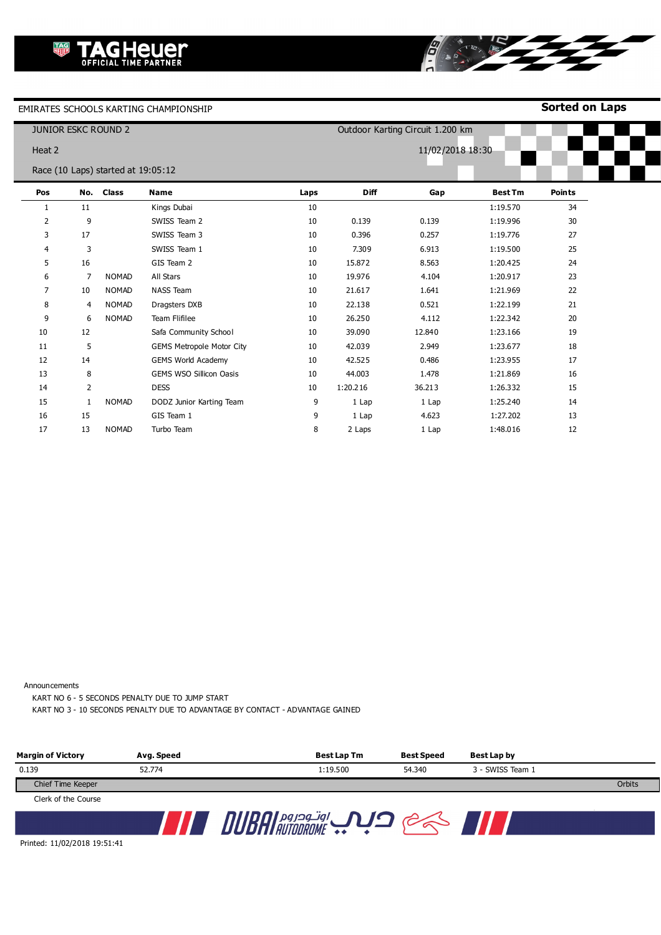**Sorted on Laps**

|                | <b>JUNIOR ESKC ROUND 2</b> |                                    |                                  |      |                  | Outdoor Karting Circuit 1.200 km |                |               |
|----------------|----------------------------|------------------------------------|----------------------------------|------|------------------|----------------------------------|----------------|---------------|
| Heat 2         |                            |                                    |                                  |      | 11/02/2018 18:30 |                                  |                |               |
|                |                            | Race (10 Laps) started at 19:05:12 |                                  |      |                  |                                  |                |               |
| Pos            |                            | No. Class                          | <b>Name</b>                      | Laps | <b>Diff</b>      | Gap                              | <b>Best Tm</b> | <b>Points</b> |
| 1              | 11                         |                                    | Kings Dubai                      | 10   |                  |                                  | 1:19.570       | 34            |
| $\overline{2}$ | 9                          |                                    | SWISS Team 2                     | 10   | 0.139            | 0.139                            | 1:19.996       | 30            |
| 3              | 17                         |                                    | SWISS Team 3                     | 10   | 0.396            | 0.257                            | 1:19.776       | 27            |
| 4              | 3                          |                                    | SWISS Team 1                     | 10   | 7.309            | 6.913                            | 1:19.500       | 25            |
| 5              | 16                         |                                    | GIS Team 2                       | 10   | 15.872           | 8.563                            | 1:20.425       | 24            |
| 6              | 7                          | <b>NOMAD</b>                       | All Stars                        | 10   | 19.976           | 4.104                            | 1:20.917       | 23            |
| 7              | 10                         | <b>NOMAD</b>                       | <b>NASS Team</b>                 | 10   | 21.617           | 1.641                            | 1:21.969       | 22            |
| 8              | 4                          | <b>NOMAD</b>                       | Dragsters DXB                    | 10   | 22.138           | 0.521                            | 1:22.199       | 21            |
| 9              | 6                          | <b>NOMAD</b>                       | Team Flifilee                    | 10   | 26.250           | 4.112                            | 1:22.342       | 20            |
| 10             | 12                         |                                    | Safa Community School            | 10   | 39.090           | 12.840                           | 1:23.166       | 19            |
| 11             | 5                          |                                    | <b>GEMS Metropole Motor City</b> | 10   | 42.039           | 2.949                            | 1:23.677       | 18            |
| 12             | 14                         |                                    | <b>GEMS World Academy</b>        | 10   | 42.525           | 0.486                            | 1:23.955       | 17            |
| 13             | 8                          |                                    | <b>GEMS WSO Sillicon Oasis</b>   | 10   | 44.003           | 1.478                            | 1:21.869       | 16            |
| 14             | $\overline{2}$             |                                    | <b>DESS</b>                      | 10   | 1:20.216         | 36.213                           | 1:26.332       | 15            |
| 15             | 1                          | <b>NOMAD</b>                       | DODZ Junior Karting Team         | 9    | 1 Lap            | 1 Lap                            | 1:25.240       | 14            |
| 16             | 15                         |                                    | GIS Team 1                       | 9    | 1 Lap            | 4.623                            | 1:27.202       | 13            |
| 17             | 13                         | <b>NOMAD</b>                       | Turbo Team                       | 8    | 2 Laps           | 1 Lap                            | 1:48.016       | 12            |

8

TRY

Announcements

KART NO 6 - 5 SECONDS PENALTY DUE TO JUMP START

KART NO 3 - 10 SECONDS PENALTY DUE TO ADVANTAGE BY CONTACT - ADVANTAGE GAINED

| <b>Margin of Victory</b> | Avg. Speed | Best Lap Tm | <b>Best Speed</b> | Best Lap by      |        |
|--------------------------|------------|-------------|-------------------|------------------|--------|
| 0.139                    | 52.774     | 1:19.500    | 54.340            | 3 - SWISS Team 1 |        |
| Chief Time Keeper        |            |             |                   |                  | Orbits |
| Clerk of the Course      |            |             |                   |                  |        |
|                          |            |             |                   |                  |        |

Printed: 11/02/2018 19:51:41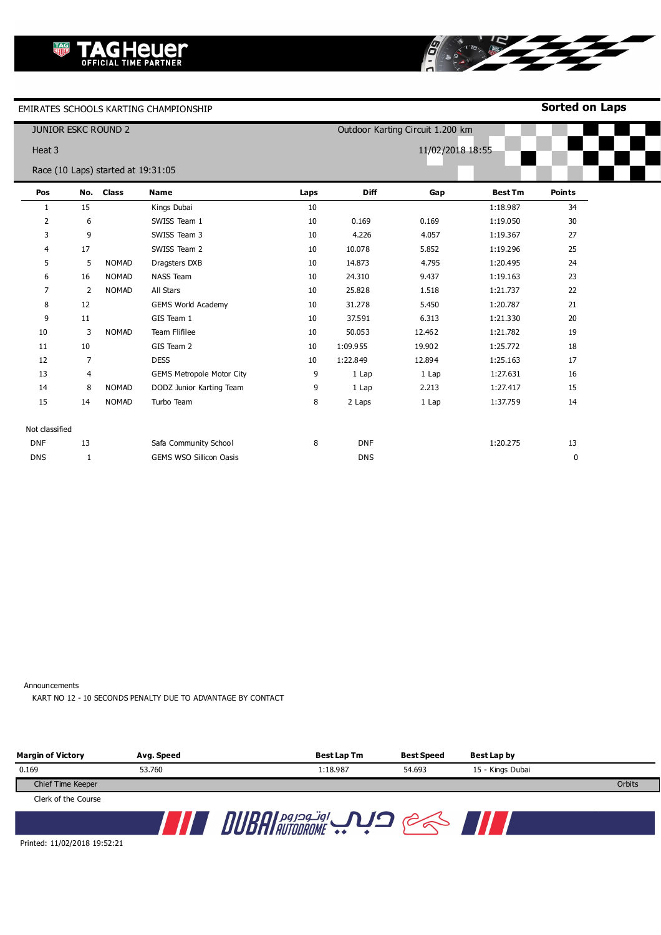**Sorted on Laps**

**B** 1979

|                | <b>JUNIOR ESKC ROUND 2</b> |                                    |                                  |      |                  | Outdoor Karting Circuit 1.200 km |                |               |
|----------------|----------------------------|------------------------------------|----------------------------------|------|------------------|----------------------------------|----------------|---------------|
| Heat 3         |                            |                                    |                                  |      | 11/02/2018 18:55 |                                  |                |               |
|                |                            | Race (10 Laps) started at 19:31:05 |                                  |      |                  |                                  |                |               |
| Pos            | No.                        | <b>Class</b>                       | <b>Name</b>                      | Laps | <b>Diff</b>      | Gap                              | <b>Best Tm</b> | <b>Points</b> |
| 1              | 15                         |                                    | Kings Dubai                      | 10   |                  |                                  | 1:18.987       | 34            |
| 2              | 6                          |                                    | SWISS Team 1                     | 10   | 0.169            | 0.169                            | 1:19.050       | 30            |
| 3              | 9                          |                                    | SWISS Team 3                     | 10   | 4.226            | 4.057                            | 1:19.367       | 27            |
| 4              | 17                         |                                    | SWISS Team 2                     | 10   | 10.078           | 5.852                            | 1:19.296       | 25            |
| 5              | 5                          | <b>NOMAD</b>                       | Dragsters DXB                    | 10   | 14.873           | 4.795                            | 1:20.495       | 24            |
| 6              | 16                         | <b>NOMAD</b>                       | <b>NASS Team</b>                 | 10   | 24.310           | 9.437                            | 1:19.163       | 23            |
| $\overline{7}$ | 2                          | <b>NOMAD</b>                       | All Stars                        | 10   | 25.828           | 1.518                            | 1:21.737       | 22            |
| 8              | 12                         |                                    | <b>GEMS World Academy</b>        | 10   | 31.278           | 5.450                            | 1:20.787       | 21            |
| 9              | 11                         |                                    | GIS Team 1                       | 10   | 37.591           | 6.313                            | 1:21.330       | 20            |
| 10             | 3                          | <b>NOMAD</b>                       | Team Flifilee                    | 10   | 50.053           | 12.462                           | 1:21.782       | 19            |
| 11             | 10                         |                                    | GIS Team 2                       | 10   | 1:09.955         | 19.902                           | 1:25.772       | 18            |
| 12             | $\overline{7}$             |                                    | <b>DESS</b>                      | 10   | 1:22.849         | 12.894                           | 1:25.163       | 17            |
| 13             | 4                          |                                    | <b>GEMS Metropole Motor City</b> | 9    | 1 Lap            | 1 Lap                            | 1:27.631       | 16            |
| 14             | 8                          | <b>NOMAD</b>                       | DODZ Junior Karting Team         | 9    | 1 Lap            | 2.213                            | 1:27.417       | 15            |
| 15             | 14                         | <b>NOMAD</b>                       | Turbo Team                       | 8    | 2 Laps           | 1 Lap                            | 1:37.759       | 14            |
| Not classified |                            |                                    |                                  |      |                  |                                  |                |               |
| <b>DNF</b>     | 13                         |                                    | Safa Community School            | 8    | <b>DNF</b>       |                                  | 1:20.275       | 13            |
| <b>DNS</b>     | $\mathbf 1$                |                                    | GEMS WSO Sillicon Oasis          |      | <b>DNS</b>       |                                  |                | $\pmb{0}$     |

Announcements

KART NO 12 - 10 SECONDS PENALTY DUE TO ADVANTAGE BY CONTACT

| <b>Margin of Victory</b> | Avg. Speed | <b>Best Lap Tm</b> | <b>Best Speed</b> | Best Lap by      |        |
|--------------------------|------------|--------------------|-------------------|------------------|--------|
| 0.169                    | 53.760     | 1:18.987           | 54.693            | 15 - Kings Dubai |        |
| Chief Time Keeper        |            |                    |                   |                  | Orbits |
| Clerk of the Course      |            |                    |                   |                  |        |
|                          |            |                    |                   |                  |        |

Printed: 11/02/2018 19:52:21